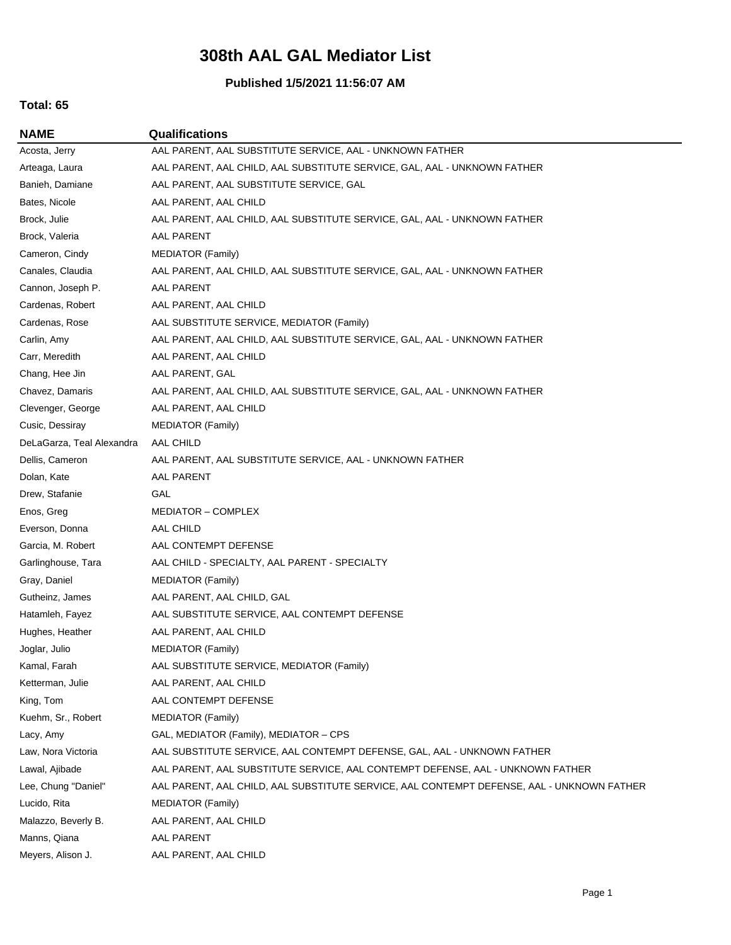## **308th AAL GAL Mediator List**

#### **Published 1/5/2021 11:56:07 AM**

## **Total: 65**

**NAME Qualifications**

Acosta, Jerry AAL PARENT, AAL SUBSTITUTE SERVICE, AAL - UNKNOWN FATHER Arteaga, Laura **AAL PARENT, AAL CHILD, AAL SUBSTITUTE SERVICE, GAL, AAL - UNKNOWN FATHER** Banieh, Damiane AAL PARENT, AAL SUBSTITUTE SERVICE, GAL Bates, Nicole AAL PARENT, AAL CHILD Brock, Julie **AAL PARENT, AAL CHILD, AAL SUBSTITUTE SERVICE, GAL, AAL - UNKNOWN FATHER** Brock, Valeria AAL PARENT Cameron, Cindy MEDIATOR (Family) Canales, Claudia **AAL PARENT, AAL CHILD, AAL SUBSTITUTE SERVICE**, GAL, AAL - UNKNOWN FATHER Cannon, Joseph P. AAL PARENT Cardenas, Robert AAL PARENT, AAL CHILD Cardenas, Rose **AAL SUBSTITUTE SERVICE, MEDIATOR (Family)** Carlin, Amy **AAL PARENT, AAL CHILD, AAL SUBSTITUTE SERVICE, GAL, AAL - UNKNOWN FATHER** Carr, Meredith AAL PARENT, AAL CHILD Chang, Hee Jin AAL PARENT, GAL Chavez, Damaris **AAL PARENT, AAL CHILD, AAL SUBSTITUTE SERVICE, GAL, AAL - UNKNOWN FATHER** Clevenger, George AAL PARENT, AAL CHILD Cusic, Dessiray MEDIATOR (Family) DeLaGarza, Teal Alexandra AAL CHILD Dellis, Cameron AAL PARENT, AAL SUBSTITUTE SERVICE, AAL - UNKNOWN FATHER Dolan, Kate AAL PARENT Drew, Stafanie GAL Enos, Greg MEDIATOR – COMPLEX Everson, Donna AAL CHILD Garcia, M. Robert AAL CONTEMPT DEFENSE Garlinghouse, Tara AAL CHILD - SPECIALTY, AAL PARENT - SPECIALTY Gray, Daniel MEDIATOR (Family) Gutheinz, James AAL PARENT, AAL CHILD, GAL Hatamleh, Fayez AAL SUBSTITUTE SERVICE, AAL CONTEMPT DEFENSE Hughes, Heather **AAL PARENT, AAL CHILD** Joglar, Julio MEDIATOR (Family) Kamal, Farah **AAL SUBSTITUTE SERVICE, MEDIATOR (Family)** Ketterman, Julie AAL PARENT, AAL CHILD King, Tom AAL CONTEMPT DEFENSE Kuehm, Sr., Robert MEDIATOR (Family) Lacy, Amy GAL, MEDIATOR (Family), MEDIATOR – CPS Law, Nora Victoria **AAL SUBSTITUTE SERVICE, AAL CONTEMPT DEFENSE**, GAL, AAL - UNKNOWN FATHER Lawal, Ajibade **AAL PARENT, AAL SUBSTITUTE SERVICE, AAL CONTEMPT DEFENSE, AAL - UNKNOWN FATHER** Lee, Chung "Daniel" AAL PARENT, AAL CHILD, AAL SUBSTITUTE SERVICE, AAL CONTEMPT DEFENSE, AAL - UNKNOWN FATHER Lucido, Rita MEDIATOR (Family) Malazzo, Beverly B. AAL PARENT, AAL CHILD Manns, Qiana AAL PARENT Meyers, Alison J. AAL PARENT, AAL CHILD